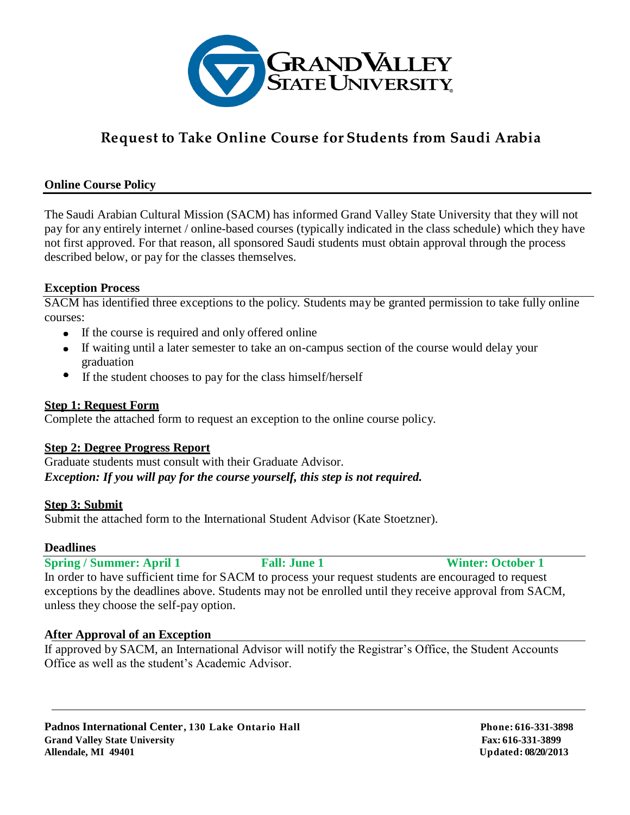

## **Request to Take Online Course for Students from Saudi Arabia**

### **Online Course Policy**

The Saudi Arabian Cultural Mission (SACM) has informed Grand Valley State University that they will not pay for any entirely internet / online-based courses (typically indicated in the class schedule) which they have not first approved. For that reason, all sponsored Saudi students must obtain approval through the process described below, or pay for the classes themselves.

#### **Exception Process**

SACM has identified three exceptions to the policy. Students may be granted permission to take fully online courses:

- If the course is required and only offered online
- If waiting until a later semester to take an on-campus section of the course would delay your graduation
- If the student chooses to pay for the class himself/herself

#### **Step 1: Request Form**

Complete the attached form to request an exception to the online course policy.

### **Step 2: Degree Progress Report**

Graduate students must consult with their Graduate Advisor. *Exception: If you will pay for the course yourself, this step is not required.*

### **Step 3: Submit**

Submit the attached form to the International Student Advisor (Kate Stoetzner).

#### **Deadlines**

**Spring / Summer: April 1** Fall: June 1 Winter: October 1 In order to have sufficient time for SACM to process your request students are encouraged to request exceptions by the deadlines above. Students may not be enrolled until they receive approval from SACM, unless they choose the self-pay option.

### **After Approval of an Exception**

If approved by SACM, an International Advisor will notify the Registrar's Office, the Student Accounts Office as well as the student's Academic Advisor.